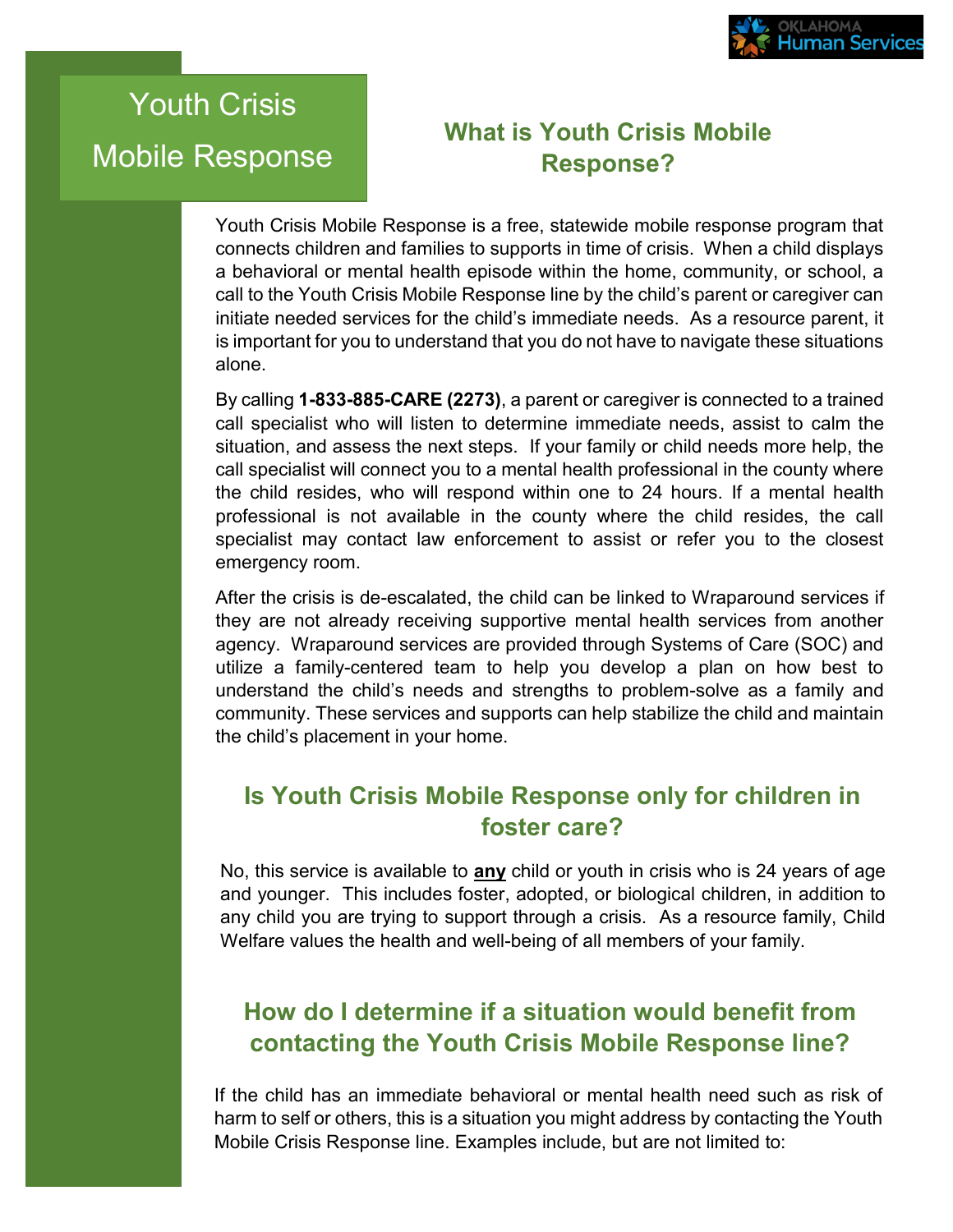

## Youth Crisis Mobile Response

## **What is Youth Crisis Mobile Response?**

Youth Crisis Mobile Response is a free, statewide mobile response program that connects children and families to supports in time of crisis. When a child displays a behavioral or mental health episode within the home, community, or school, a call to the Youth Crisis Mobile Response line by the child's parent or caregiver can initiate needed services for the child's immediate needs. As a resource parent, it is important for you to understand that you do not have to navigate these situations alone.

By calling **1-833-885-CARE (2273)**, a parent or caregiver is connected to a trained call specialist who will listen to determine immediate needs, assist to calm the situation, and assess the next steps. If your family or child needs more help, the call specialist will connect you to a mental health professional in the county where the child resides, who will respond within one to 24 hours. If a mental health professional is not available in the county where the child resides, the call specialist may contact law enforcement to assist or refer you to the closest emergency room.

After the crisis is de-escalated, the child can be linked to Wraparound services if they are not already receiving supportive mental health services from another agency. Wraparound services are provided through Systems of Care (SOC) and utilize a family-centered team to help you develop a plan on how best to understand the child's needs and strengths to problem-solve as a family and community. These services and supports can help stabilize the child and maintain the child's placement in your home.

## **Is Youth Crisis Mobile Response only for children in foster care?**

No, this service is available to **any** child or youth in crisis who is 24 years of age and younger. This includes foster, adopted, or biological children, in addition to any child you are trying to support through a crisis. As a resource family, Child Welfare values the health and well-being of all members of your family.

## **How do I determine if a situation would benefit from contacting the Youth Crisis Mobile Response line?**

If the child has an immediate behavioral or mental health need such as risk of harm to self or others, this is a situation you might address by contacting the Youth Mobile Crisis Response line. Examples include, but are not limited to: